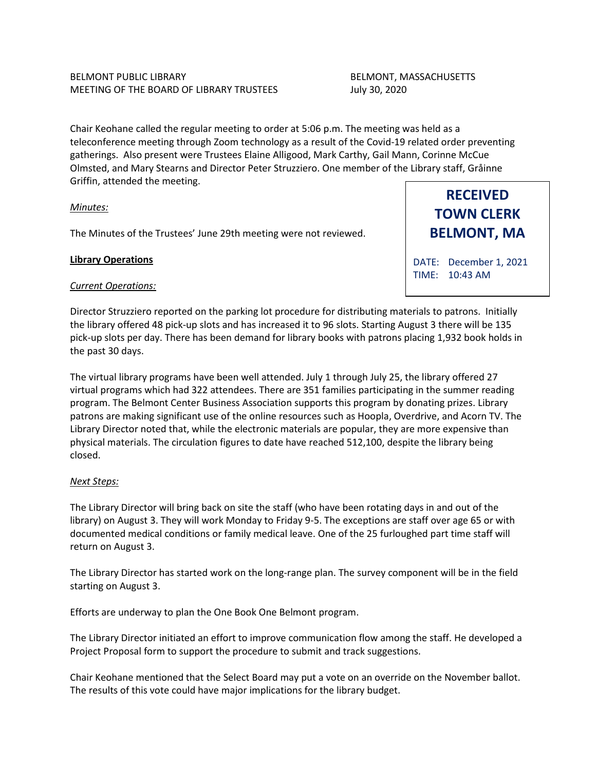## BELMONT PUBLIC LIBRARY **BELMONT, MASSACHUSETTS** MEETING OF THE BOARD OF LIBRARY TRUSTEES July 30, 2020

Chair Keohane called the regular meeting to order at 5:06 p.m. The meeting was held as a teleconference meeting through Zoom technology as a result of the Covid-19 related order preventing gatherings. Also present were Trustees Elaine Alligood, Mark Carthy, Gail Mann, Corinne McCue Olmsted, and Mary Stearns and Director Peter Struzziero. One member of the Library staff, Gråinne Griffin, attended the meeting.

### *Minutes:*

The Minutes of the Trustees' June 29th meeting were not reviewed.

### **Library Operations**

### *Current Operations:*

**BELMONT, MA**

**RECEIVED TOWN CLERK**

DATE: December 1, 2021 TIME: 10:43 AM

Director Struzziero reported on the parking lot procedure for distributing materials to patrons. Initially the library offered 48 pick-up slots and has increased it to 96 slots. Starting August 3 there will be 135 pick-up slots per day. There has been demand for library books with patrons placing 1,932 book holds in the past 30 days.

The virtual library programs have been well attended. July 1 through July 25, the library offered 27 virtual programs which had 322 attendees. There are 351 families participating in the summer reading program. The Belmont Center Business Association supports this program by donating prizes. Library patrons are making significant use of the online resources such as Hoopla, Overdrive, and Acorn TV. The Library Director noted that, while the electronic materials are popular, they are more expensive than physical materials. The circulation figures to date have reached 512,100, despite the library being closed.

### *Next Steps:*

The Library Director will bring back on site the staff (who have been rotating days in and out of the library) on August 3. They will work Monday to Friday 9-5. The exceptions are staff over age 65 or with documented medical conditions or family medical leave. One of the 25 furloughed part time staff will return on August 3.

The Library Director has started work on the long-range plan. The survey component will be in the field starting on August 3.

Efforts are underway to plan the One Book One Belmont program.

The Library Director initiated an effort to improve communication flow among the staff. He developed a Project Proposal form to support the procedure to submit and track suggestions.

Chair Keohane mentioned that the Select Board may put a vote on an override on the November ballot. The results of this vote could have major implications for the library budget.